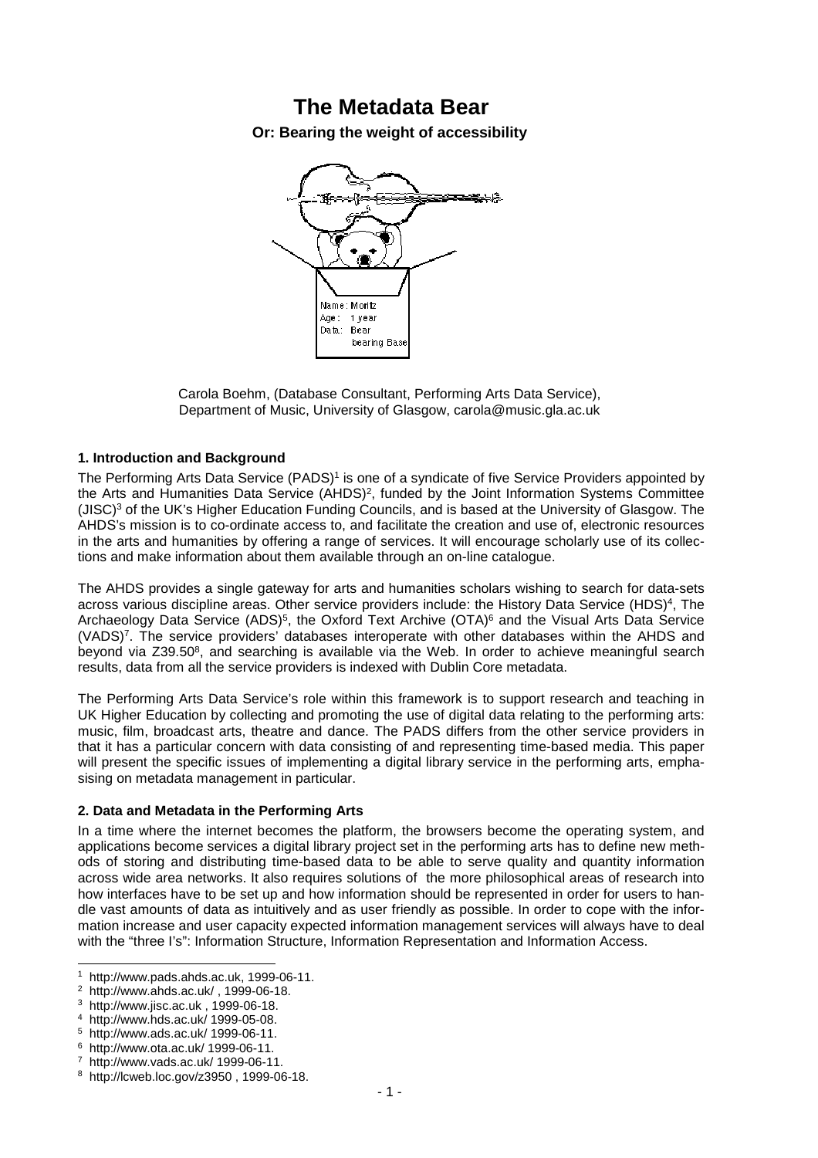# **The Metadata Bear**

**Or: Bearing the weight of accessibility** 



Carola Boehm, (Database Consultant, Performing Arts Data Service), Department of Music, University of Glasgow, carola@music.gla.ac.uk

# **1. Introduction and Background**

The Performing Arts Data Service (PADS)<sup>1</sup> is one of a syndicate of five Service Providers appointed by the Arts and Humanities Data Service (AHDS)<sup>2</sup>, funded by the Joint Information Systems Committee (JISC)<sup>3</sup> of the UK's Higher Education Funding Councils, and is based at the University of Glasgow. The AHDS's mission is to co-ordinate access to, and facilitate the creation and use of, electronic resources in the arts and humanities by offering a range of services. It will encourage scholarly use of its collections and make information about them available through an on-line catalogue.

The AHDS provides a single gateway for arts and humanities scholars wishing to search for data-sets across various discipline areas. Other service providers include: the History Data Service (HDS)<sup>4</sup>, The Archaeology Data Service (ADS)<sup>5</sup>, the Oxford Text Archive (OTA)<sup>6</sup> and the Visual Arts Data Service (VADS)<sup>7</sup> . The service providers' databases interoperate with other databases within the AHDS and beyond via Z39.50<sup>8</sup>, and searching is available via the Web. In order to achieve meaningful search results, data from all the service providers is indexed with Dublin Core metadata.

The Performing Arts Data Service's role within this framework is to support research and teaching in UK Higher Education by collecting and promoting the use of digital data relating to the performing arts: music, film, broadcast arts, theatre and dance. The PADS differs from the other service providers in that it has a particular concern with data consisting of and representing time-based media. This paper will present the specific issues of implementing a digital library service in the performing arts, emphasising on metadata management in particular.

#### **2. Data and Metadata in the Performing Arts**

In a time where the internet becomes the platform, the browsers become the operating system, and applications become services a digital library project set in the performing arts has to define new methods of storing and distributing time-based data to be able to serve quality and quantity information across wide area networks. It also requires solutions of the more philosophical areas of research into how interfaces have to be set up and how information should be represented in order for users to handle vast amounts of data as intuitively and as user friendly as possible. In order to cope with the information increase and user capacity expected information management services will always have to deal with the "three I's": Information Structure, Information Representation and Information Access.

l

<sup>1</sup> http://www.pads.ahds.ac.uk, 1999-06-11.

<sup>2</sup> http://www.ahds.ac.uk/ , 1999-06-18.

<sup>3</sup> http://www.jisc.ac.uk , 1999-06-18.

<sup>4</sup> http://www.hds.ac.uk/ 1999-05-08.

<sup>5</sup> http://www.ads.ac.uk/ 1999-06-11.

<sup>6</sup> http://www.ota.ac.uk/ 1999-06-11.

<sup>7</sup> http://www.vads.ac.uk/ 1999-06-11.

<sup>8</sup> http://lcweb.loc.gov/z3950 , 1999-06-18.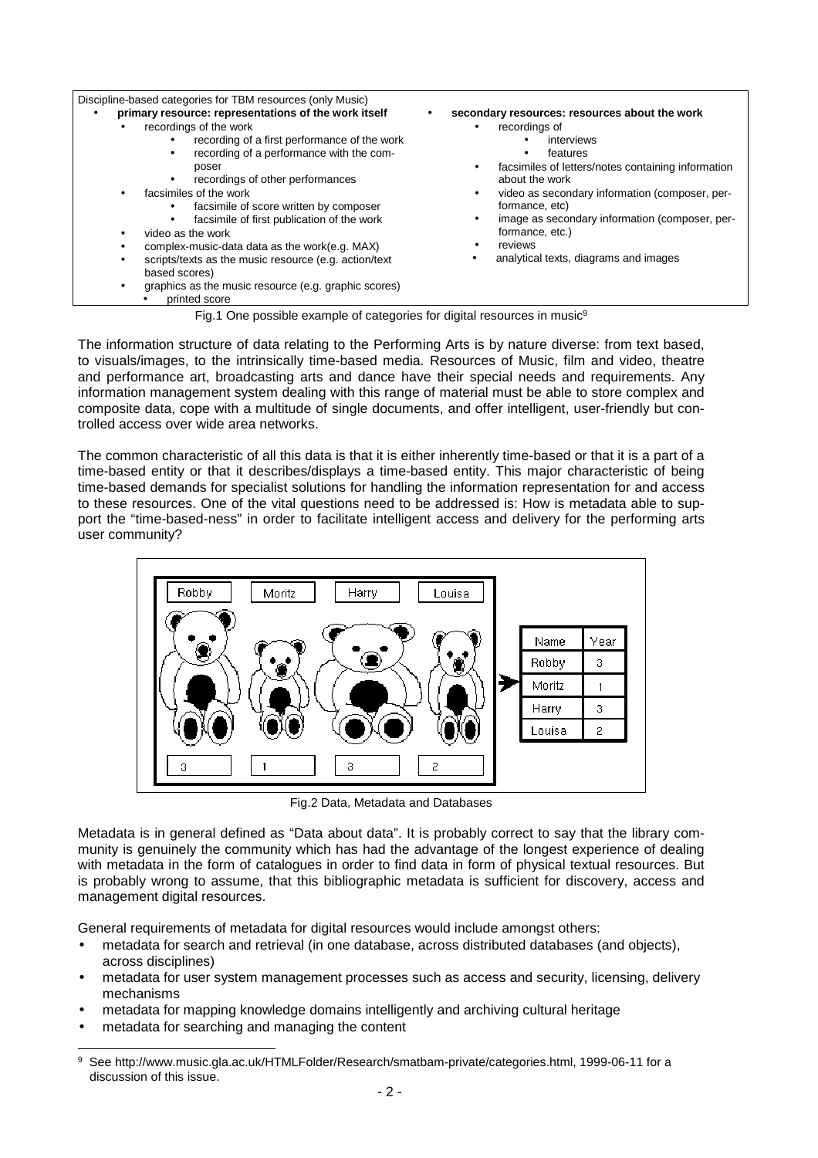| Discipline-based categories for TBM resources (only Music)                                                                                                                                                                                                                                                                                                                                                                                                                                                                                                                                               |                                                                                                                                                                                                                                                                                                                                                                    |
|----------------------------------------------------------------------------------------------------------------------------------------------------------------------------------------------------------------------------------------------------------------------------------------------------------------------------------------------------------------------------------------------------------------------------------------------------------------------------------------------------------------------------------------------------------------------------------------------------------|--------------------------------------------------------------------------------------------------------------------------------------------------------------------------------------------------------------------------------------------------------------------------------------------------------------------------------------------------------------------|
| primary resource: representations of the work itself<br>٠<br>recordings of the work<br>recording of a first performance of the work<br>recording of a performance with the com-<br>٠<br>poser<br>recordings of other performances<br>٠<br>facsimiles of the work<br>facsimile of score written by composer<br>facsimile of first publication of the work<br>video as the work<br>٠<br>complex-music-data data as the work(e.g. MAX)<br>scripts/texts as the music resource (e.g. action/text<br>٠<br>based scores)<br>graphics as the music resource (e.g. graphic scores)<br>$\bullet$<br>printed score | secondary resources: resources about the work<br>recordings of<br>interviews<br>features<br>٠<br>facsimiles of letters/notes containing information<br>about the work<br>video as secondary information (composer, per-<br>formance, etc)<br>image as secondary information (composer, per-<br>formance, etc.)<br>reviews<br>analytical texts, diagrams and images |
| Fig.1 One possible example of categories for digital resources in music <sup>9</sup>                                                                                                                                                                                                                                                                                                                                                                                                                                                                                                                     |                                                                                                                                                                                                                                                                                                                                                                    |

The information structure of data relating to the Performing Arts is by nature diverse: from text based, to visuals/images, to the intrinsically time-based media. Resources of Music, film and video, theatre and performance art, broadcasting arts and dance have their special needs and requirements. Any information management system dealing with this range of material must be able to store complex and composite data, cope with a multitude of single documents, and offer intelligent, user-friendly but controlled access over wide area networks.

The common characteristic of all this data is that it is either inherently time-based or that it is a part of a time-based entity or that it describes/displays a time-based entity. This major characteristic of being time-based demands for specialist solutions for handling the information representation for and access to these resources. One of the vital questions need to be addressed is: How is metadata able to support the "time-based-ness" in order to facilitate intelligent access and delivery for the performing arts user community?



Fig.2 Data, Metadata and Databases

Metadata is in general defined as "Data about data". It is probably correct to say that the library community is genuinely the community which has had the advantage of the longest experience of dealing with metadata in the form of catalogues in order to find data in form of physical textual resources. But is probably wrong to assume, that this bibliographic metadata is sufficient for discovery, access and management digital resources.

General requirements of metadata for digital resources would include amongst others:

- metadata for search and retrieval (in one database, across distributed databases (and objects), across disciplines)
- metadata for user system management processes such as access and security, licensing, delivery mechanisms
- metadata for mapping knowledge domains intelligently and archiving cultural heritage
- metadata for searching and managing the content

l

<sup>9</sup> See http://www.music.gla.ac.uk/HTMLFolder/Research/smatbam-private/categories.html, 1999-06-11 for a discussion of this issue.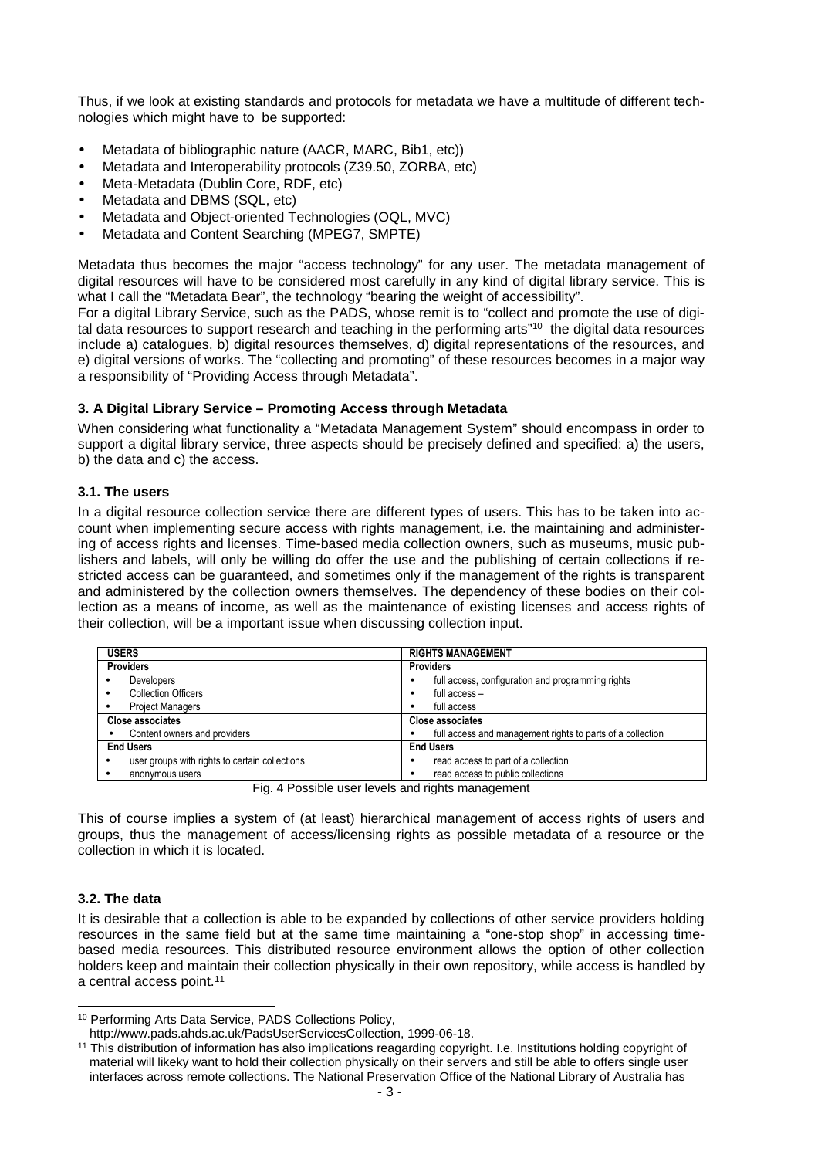Thus, if we look at existing standards and protocols for metadata we have a multitude of different technologies which might have to be supported:

- Metadata of bibliographic nature (AACR, MARC, Bib1, etc))
- Metadata and Interoperability protocols (Z39.50, ZORBA, etc)
- Meta-Metadata (Dublin Core, RDF, etc)
- Metadata and DBMS (SQL, etc)
- Metadata and Object-oriented Technologies (OQL, MVC)
- Metadata and Content Searching (MPEG7, SMPTE)

Metadata thus becomes the major "access technology" for any user. The metadata management of digital resources will have to be considered most carefully in any kind of digital library service. This is what I call the "Metadata Bear", the technology "bearing the weight of accessibility".

For a digital Library Service, such as the PADS, whose remit is to "collect and promote the use of digital data resources to support research and teaching in the performing arts"<sup>10</sup> the digital data resources include a) catalogues, b) digital resources themselves, d) digital representations of the resources, and e) digital versions of works. The "collecting and promoting" of these resources becomes in a major way a responsibility of "Providing Access through Metadata".

# **3. A Digital Library Service – Promoting Access through Metadata**

When considering what functionality a "Metadata Management System" should encompass in order to support a digital library service, three aspects should be precisely defined and specified: a) the users, b) the data and c) the access.

# **3.1. The users**

In a digital resource collection service there are different types of users. This has to be taken into account when implementing secure access with rights management, i.e. the maintaining and administering of access rights and licenses. Time-based media collection owners, such as museums, music publishers and labels, will only be willing do offer the use and the publishing of certain collections if restricted access can be guaranteed, and sometimes only if the management of the rights is transparent and administered by the collection owners themselves. The dependency of these bodies on their collection as a means of income, as well as the maintenance of existing licenses and access rights of their collection, will be a important issue when discussing collection input.

| <b>USERS</b>                                            | <b>RIGHTS MANAGEMENT</b>                                   |
|---------------------------------------------------------|------------------------------------------------------------|
| <b>Providers</b>                                        | <b>Providers</b>                                           |
| <b>Developers</b>                                       | full access, configuration and programming rights          |
| <b>Collection Officers</b>                              | full access -                                              |
| <b>Project Managers</b>                                 | full access                                                |
| Close associates                                        | <b>Close associates</b>                                    |
| Content owners and providers                            | full access and management rights to parts of a collection |
| <b>End Users</b>                                        | <b>End Users</b>                                           |
| user groups with rights to certain collections<br>٠     | read access to part of a collection                        |
| anonymous users                                         | read access to public collections<br>٠                     |
| Fia - 4 Denoileto unha terreto no disinte proponenzanti |                                                            |

Fig. 4 Possible user levels and rights management

This of course implies a system of (at least) hierarchical management of access rights of users and groups, thus the management of access/licensing rights as possible metadata of a resource or the collection in which it is located.

# **3.2. The data**

l

It is desirable that a collection is able to be expanded by collections of other service providers holding resources in the same field but at the same time maintaining a "one-stop shop" in accessing timebased media resources. This distributed resource environment allows the option of other collection holders keep and maintain their collection physically in their own repository, while access is handled by a central access point.<sup>11</sup>

<sup>10</sup> Performing Arts Data Service, PADS Collections Policy,

http://www.pads.ahds.ac.uk/PadsUserServicesCollection, 1999-06-18.

<sup>&</sup>lt;sup>11</sup> This distribution of information has also implications reagarding copyright. I.e. Institutions holding copyright of material will likeky want to hold their collection physically on their servers and still be able to offers single user interfaces across remote collections. The National Preservation Office of the National Library of Australia has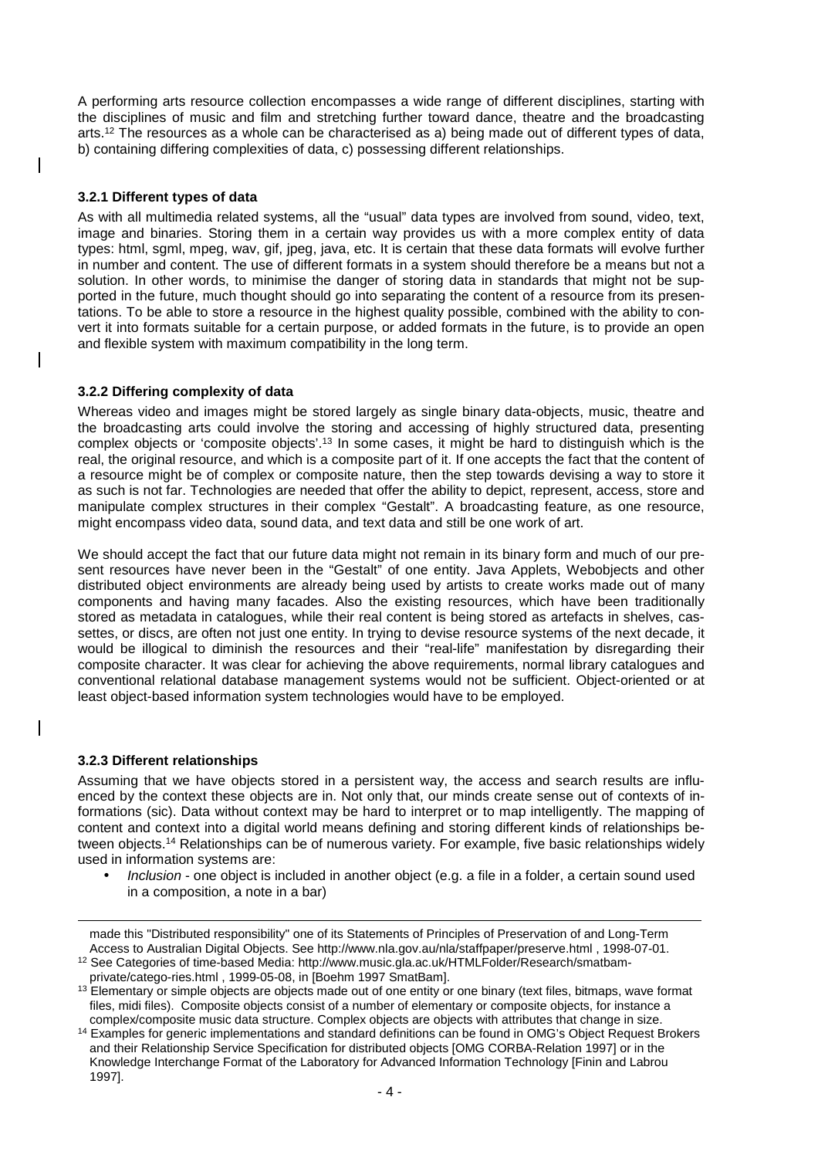A performing arts resource collection encompasses a wide range of different disciplines, starting with the disciplines of music and film and stretching further toward dance, theatre and the broadcasting arts.<sup>12</sup> The resources as a whole can be characterised as a) being made out of different types of data, b) containing differing complexities of data, c) possessing different relationships.

### **3.2.1 Different types of data**

As with all multimedia related systems, all the "usual" data types are involved from sound, video, text, image and binaries. Storing them in a certain way provides us with a more complex entity of data types: html, sgml, mpeg, wav, gif, jpeg, java, etc. It is certain that these data formats will evolve further in number and content. The use of different formats in a system should therefore be a means but not a solution. In other words, to minimise the danger of storing data in standards that might not be supported in the future, much thought should go into separating the content of a resource from its presentations. To be able to store a resource in the highest quality possible, combined with the ability to convert it into formats suitable for a certain purpose, or added formats in the future, is to provide an open and flexible system with maximum compatibility in the long term.

#### **3.2.2 Differing complexity of data**

Whereas video and images might be stored largely as single binary data-objects, music, theatre and the broadcasting arts could involve the storing and accessing of highly structured data, presenting complex objects or 'composite objects'.<sup>13</sup> In some cases, it might be hard to distinguish which is the real, the original resource, and which is a composite part of it. If one accepts the fact that the content of a resource might be of complex or composite nature, then the step towards devising a way to store it as such is not far. Technologies are needed that offer the ability to depict, represent, access, store and manipulate complex structures in their complex "Gestalt". A broadcasting feature, as one resource, might encompass video data, sound data, and text data and still be one work of art.

We should accept the fact that our future data might not remain in its binary form and much of our present resources have never been in the "Gestalt" of one entity. Java Applets, Webobjects and other distributed object environments are already being used by artists to create works made out of many components and having many facades. Also the existing resources, which have been traditionally stored as metadata in catalogues, while their real content is being stored as artefacts in shelves, cassettes, or discs, are often not just one entity. In trying to devise resource systems of the next decade, it would be illogical to diminish the resources and their "real-life" manifestation by disregarding their composite character. It was clear for achieving the above requirements, normal library catalogues and conventional relational database management systems would not be sufficient. Object-oriented or at least object-based information system technologies would have to be employed.

#### **3.2.3 Different relationships**

l

Assuming that we have objects stored in a persistent way, the access and search results are influenced by the context these objects are in. Not only that, our minds create sense out of contexts of informations (sic). Data without context may be hard to interpret or to map intelligently. The mapping of content and context into a digital world means defining and storing different kinds of relationships between objects.<sup>14</sup> Relationships can be of numerous variety. For example, five basic relationships widely used in information systems are:

Inclusion - one object is included in another object (e.g. a file in a folder, a certain sound used in a composition, a note in a bar)

made this "Distributed responsibility" one of its Statements of Principles of Preservation of and Long-Term Access to Australian Digital Objects. See http://www.nla.gov.au/nla/staffpaper/preserve.html , 1998-07-01.

<sup>12</sup> See Categories of time-based Media: http://www.music.gla.ac.uk/HTMLFolder/Research/smatbamprivate/catego-ries.html , 1999-05-08, in [Boehm 1997 SmatBam].

<sup>&</sup>lt;sup>13</sup> Elementary or simple objects are objects made out of one entity or one binary (text files, bitmaps, wave format files, midi files). Composite objects consist of a number of elementary or composite objects, for instance a complex/composite music data structure. Complex objects are objects with attributes that change in size.

<sup>&</sup>lt;sup>14</sup> Examples for generic implementations and standard definitions can be found in OMG's Object Request Brokers and their Relationship Service Specification for distributed objects [OMG CORBA-Relation 1997] or in the Knowledge Interchange Format of the Laboratory for Advanced Information Technology [Finin and Labrou 1997].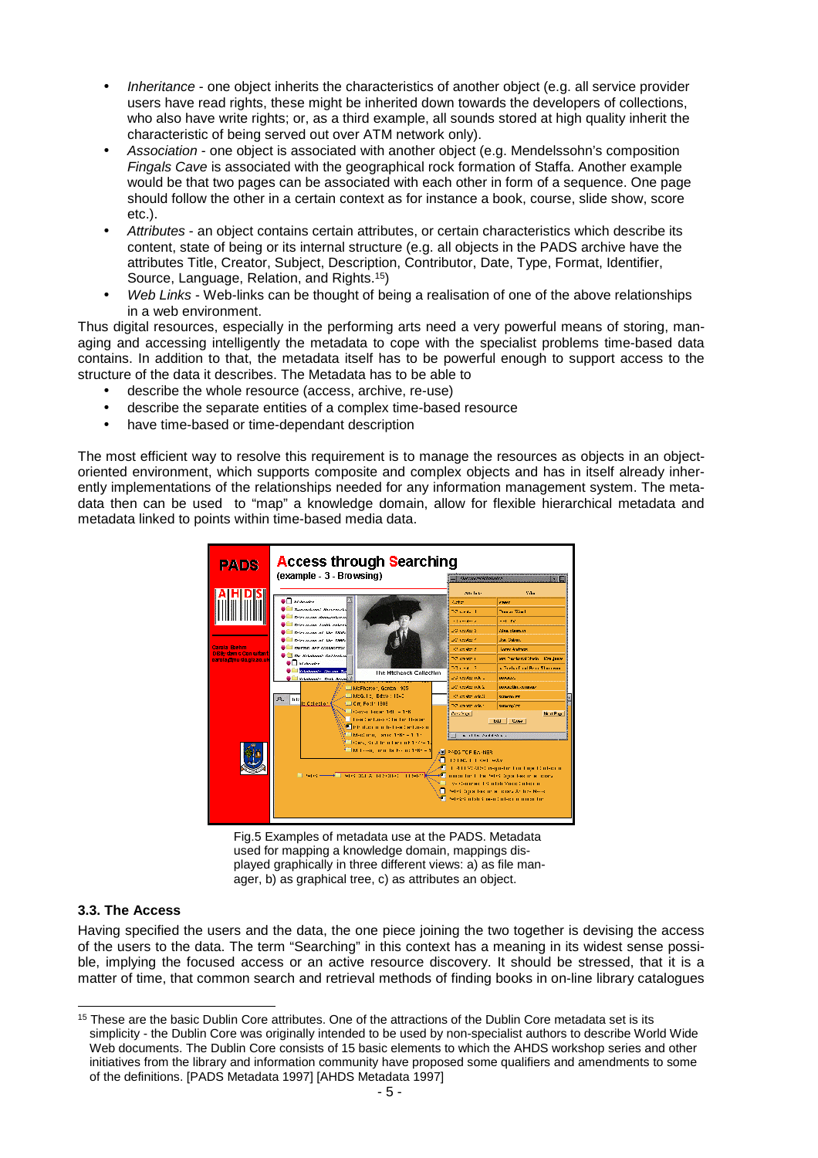- Inheritance one object inherits the characteristics of another object (e.g. all service provider users have read rights, these might be inherited down towards the developers of collections, who also have write rights; or, as a third example, all sounds stored at high quality inherit the characteristic of being served out over ATM network only).
- Association one object is associated with another object (e.g. Mendelssohn's composition Fingals Cave is associated with the geographical rock formation of Staffa. Another example would be that two pages can be associated with each other in form of a sequence. One page should follow the other in a certain context as for instance a book, course, slide show, score etc.).
- Attributes an object contains certain attributes, or certain characteristics which describe its content, state of being or its internal structure (e.g. all objects in the PADS archive have the attributes Title, Creator, Subject, Description, Contributor, Date, Type, Format, Identifier, Source, Language, Relation, and Rights.<sup>15</sup>)
- Web Links Web-links can be thought of being a realisation of one of the above relationships in a web environment.

Thus digital resources, especially in the performing arts need a very powerful means of storing, managing and accessing intelligently the metadata to cope with the specialist problems time-based data contains. In addition to that, the metadata itself has to be powerful enough to support access to the structure of the data it describes. The Metadata has to be able to

- describe the whole resource (access, archive, re-use)
- describe the separate entities of a complex time-based resource
- have time-based or time-dependant description

The most efficient way to resolve this requirement is to manage the resources as objects in an objectoriented environment, which supports composite and complex objects and has in itself already inherently implementations of the relationships needed for any information management system. The metadata then can be used to "map" a knowledge domain, allow for flexible hierarchical metadata and metadata linked to points within time-based media data.



Fig.5 Examples of metadata use at the PADS. Metadata used for mapping a knowledge domain, mappings displayed graphically in three different views: a) as file manager, b) as graphical tree, c) as attributes an object.

# **3.3. The Access**

Having specified the users and the data, the one piece joining the two together is devising the access of the users to the data. The term "Searching" in this context has a meaning in its widest sense possible, implying the focused access or an active resource discovery. It should be stressed, that it is a matter of time, that common search and retrieval methods of finding books in on-line library catalogues

l <sup>15</sup> These are the basic Dublin Core attributes. One of the attractions of the Dublin Core metadata set is its simplicity - the Dublin Core was originally intended to be used by non-specialist authors to describe World Wide Web documents. The Dublin Core consists of 15 basic elements to which the AHDS workshop series and other initiatives from the library and information community have proposed some qualifiers and amendments to some of the definitions. [PADS Metadata 1997] [AHDS Metadata 1997]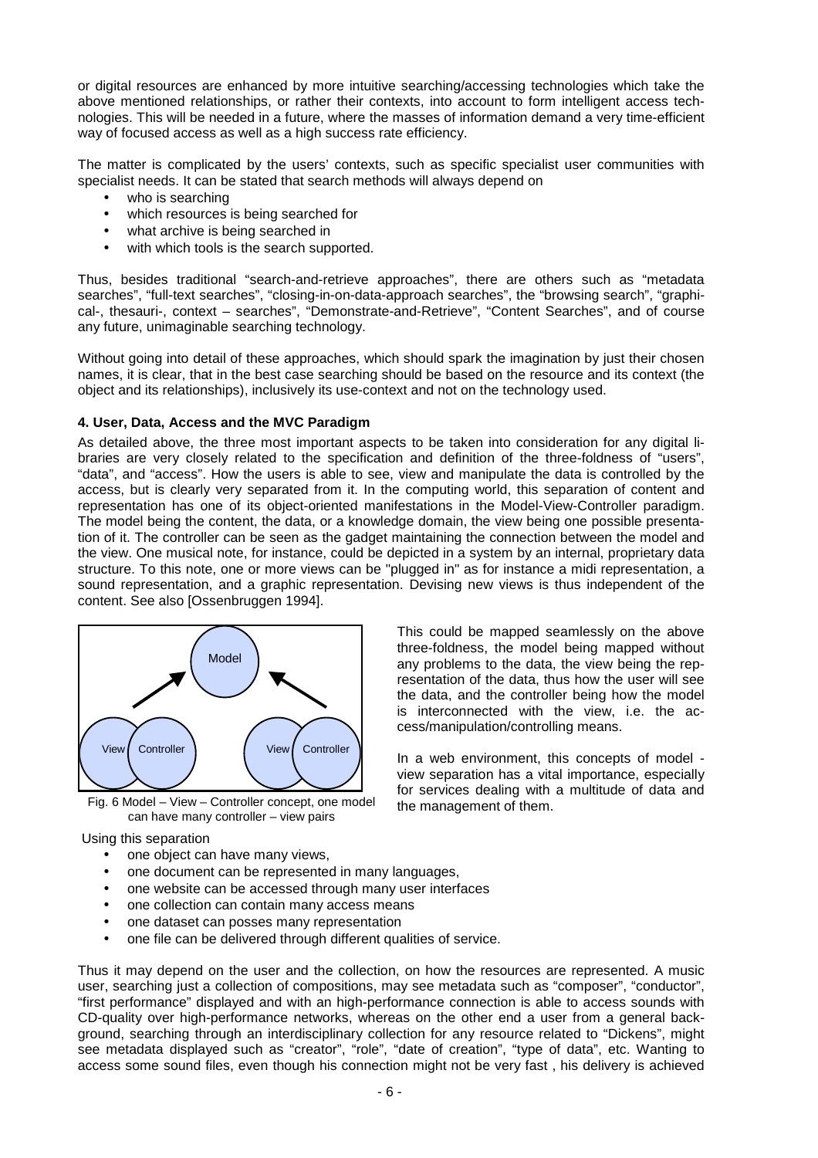or digital resources are enhanced by more intuitive searching/accessing technologies which take the above mentioned relationships, or rather their contexts, into account to form intelligent access technologies. This will be needed in a future, where the masses of information demand a very time-efficient way of focused access as well as a high success rate efficiency.

The matter is complicated by the users' contexts, such as specific specialist user communities with specialist needs. It can be stated that search methods will always depend on

- who is searching
- which resources is being searched for
- what archive is being searched in
- with which tools is the search supported.

Thus, besides traditional "search-and-retrieve approaches", there are others such as "metadata searches", "full-text searches", "closing-in-on-data-approach searches", the "browsing search", "graphical-, thesauri-, context – searches", "Demonstrate-and-Retrieve", "Content Searches", and of course any future, unimaginable searching technology.

Without going into detail of these approaches, which should spark the imagination by just their chosen names, it is clear, that in the best case searching should be based on the resource and its context (the object and its relationships), inclusively its use-context and not on the technology used.

#### **4. User, Data, Access and the MVC Paradigm**

As detailed above, the three most important aspects to be taken into consideration for any digital libraries are very closely related to the specification and definition of the three-foldness of "users", "data", and "access". How the users is able to see, view and manipulate the data is controlled by the access, but is clearly very separated from it. In the computing world, this separation of content and representation has one of its object-oriented manifestations in the Model-View-Controller paradigm. The model being the content, the data, or a knowledge domain, the view being one possible presentation of it. The controller can be seen as the gadget maintaining the connection between the model and the view. One musical note, for instance, could be depicted in a system by an internal, proprietary data structure. To this note, one or more views can be "plugged in" as for instance a midi representation, a sound representation, and a graphic representation. Devising new views is thus independent of the content. See also [Ossenbruggen 1994].

> This could be mapped seamlessly on the above three-foldness, the model being mapped without any problems to the data, the view being the representation of the data, thus how the user will see the data, and the controller being how the model is interconnected with the view, i.e. the ac-

> In a web environment, this concepts of model view separation has a vital importance, especially for services dealing with a multitude of data and

cess/manipulation/controlling means.

the management of them.



Fig. 6 Model – View – Controller concept, one model can have many controller – view pairs

Using this separation

- one object can have many views,
- one document can be represented in many languages,
- one website can be accessed through many user interfaces
- one collection can contain many access means
- one dataset can posses many representation
- one file can be delivered through different qualities of service.

Thus it may depend on the user and the collection, on how the resources are represented. A music user, searching just a collection of compositions, may see metadata such as "composer", "conductor", "first performance" displayed and with an high-performance connection is able to access sounds with CD-quality over high-performance networks, whereas on the other end a user from a general background, searching through an interdisciplinary collection for any resource related to "Dickens", might see metadata displayed such as "creator", "role", "date of creation", "type of data", etc. Wanting to access some sound files, even though his connection might not be very fast , his delivery is achieved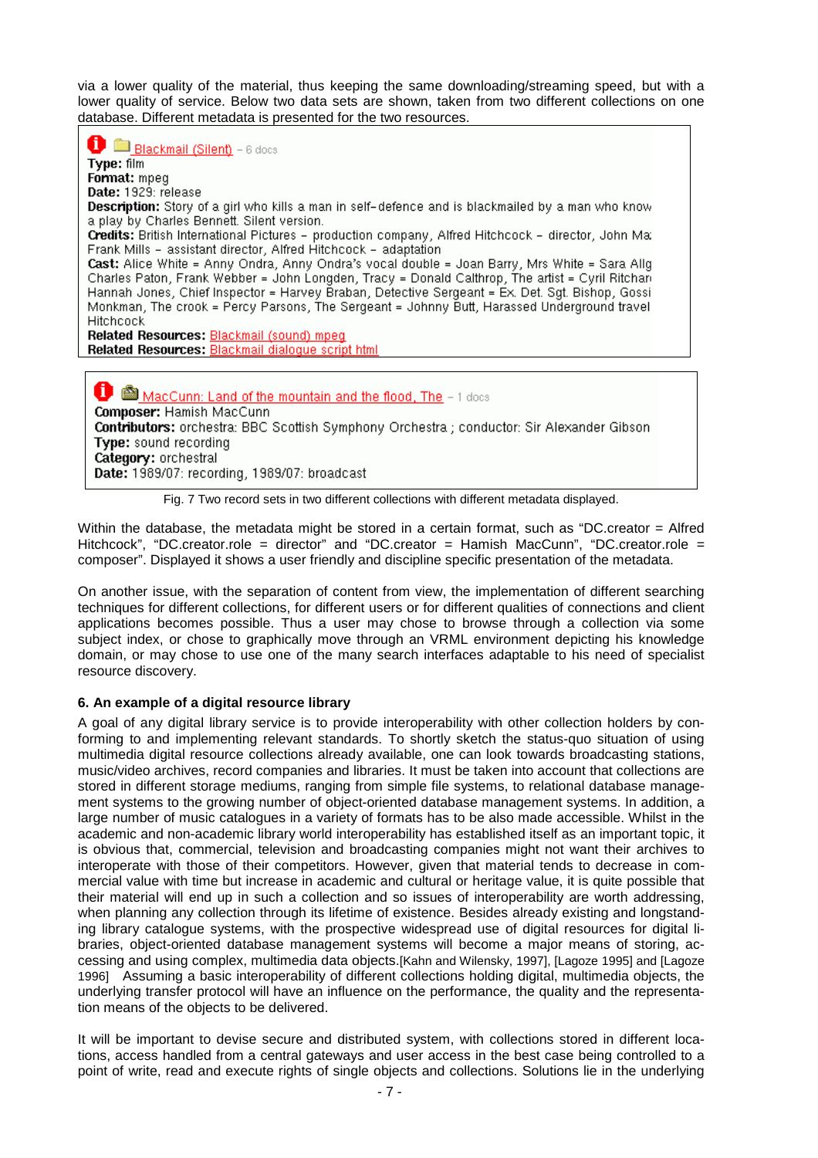via a lower quality of the material, thus keeping the same downloading/streaming speed, but with a lower quality of service. Below two data sets are shown, taken from two different collections on one database. Different metadata is presented for the two resources.

Blackmail (Silent) - 6 docs Type: film Format: mpeg Date: 1929: release Description: Story of a girl who kills a man in self-defence and is blackmailed by a man who know a play by Charles Bennett. Silent version. Credits: British International Pictures - production company, Alfred Hitchcock - director, John Ma; Frank Mills - assistant director, Alfred Hitchcock - adaptation Cast: Alice White = Anny Ondra, Anny Ondra's vocal double = Joan Barry, Mrs White = Sara Allg Charles Paton, Frank Webber = John Longden, Tracy = Donald Calthrop, The artist = Cyril Ritchan Hannah Jones, Chief Inspector = Harvey Braban, Detective Sergeant = Ex. Det. Sgt. Bishop, Gossi Monkman, The crook = Percy Parsons, The Sergeant = Johnny Butt, Harassed Underground travel Hitchcock Related Resources: Blackmail (sound) mpeq Related Resources: Blackmail dialogue script html MacCunn: Land of the mountain and the flood, The - 1 does Composer: Hamish MacCunn

Contributors: orchestra: BBC Scottish Symphony Orchestra ; conductor: Sir Alexander Gibson Type: sound recording Category: orchestral

Date: 1989/07: recording, 1989/07: broadcast



Within the database, the metadata might be stored in a certain format, such as "DC.creator = Alfred Hitchcock", "DC.creator.role = director" and "DC.creator = Hamish MacCunn", "DC.creator.role = composer". Displayed it shows a user friendly and discipline specific presentation of the metadata.

On another issue, with the separation of content from view, the implementation of different searching techniques for different collections, for different users or for different qualities of connections and client applications becomes possible. Thus a user may chose to browse through a collection via some subject index, or chose to graphically move through an VRML environment depicting his knowledge domain, or may chose to use one of the many search interfaces adaptable to his need of specialist resource discovery.

# **6. An example of a digital resource library**

A goal of any digital library service is to provide interoperability with other collection holders by conforming to and implementing relevant standards. To shortly sketch the status-quo situation of using multimedia digital resource collections already available, one can look towards broadcasting stations, music/video archives, record companies and libraries. It must be taken into account that collections are stored in different storage mediums, ranging from simple file systems, to relational database management systems to the growing number of object-oriented database management systems. In addition, a large number of music catalogues in a variety of formats has to be also made accessible. Whilst in the academic and non-academic library world interoperability has established itself as an important topic, it is obvious that, commercial, television and broadcasting companies might not want their archives to interoperate with those of their competitors. However, given that material tends to decrease in commercial value with time but increase in academic and cultural or heritage value, it is quite possible that their material will end up in such a collection and so issues of interoperability are worth addressing, when planning any collection through its lifetime of existence. Besides already existing and longstanding library catalogue systems, with the prospective widespread use of digital resources for digital libraries, object-oriented database management systems will become a major means of storing, accessing and using complex, multimedia data objects.[Kahn and Wilensky, 1997], [Lagoze 1995] and [Lagoze 1996] Assuming a basic interoperability of different collections holding digital, multimedia objects, the underlying transfer protocol will have an influence on the performance, the quality and the representation means of the objects to be delivered.

It will be important to devise secure and distributed system, with collections stored in different locations, access handled from a central gateways and user access in the best case being controlled to a point of write, read and execute rights of single objects and collections. Solutions lie in the underlying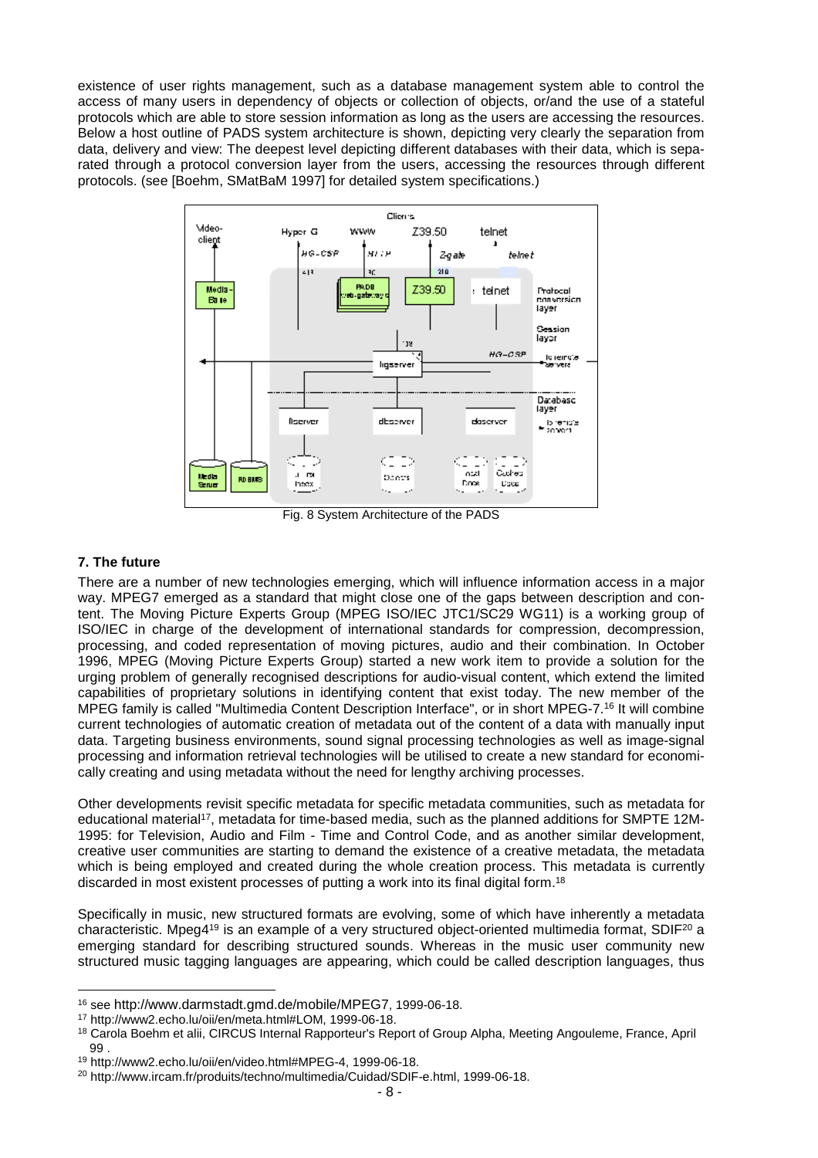existence of user rights management, such as a database management system able to control the access of many users in dependency of objects or collection of objects, or/and the use of a stateful protocols which are able to store session information as long as the users are accessing the resources. Below a host outline of PADS system architecture is shown, depicting very clearly the separation from data, delivery and view: The deepest level depicting different databases with their data, which is separated through a protocol conversion layer from the users, accessing the resources through different protocols. (see [Boehm, SMatBaM 1997] for detailed system specifications.)



Fig. 8 System Architecture of the PADS

# **7. The future**

l

There are a number of new technologies emerging, which will influence information access in a major way. MPEG7 emerged as a standard that might close one of the gaps between description and content. The Moving Picture Experts Group (MPEG ISO/IEC JTC1/SC29 WG11) is a working group of ISO/IEC in charge of the development of international standards for compression, decompression, processing, and coded representation of moving pictures, audio and their combination. In October 1996, MPEG (Moving Picture Experts Group) started a new work item to provide a solution for the urging problem of generally recognised descriptions for audio-visual content, which extend the limited capabilities of proprietary solutions in identifying content that exist today. The new member of the MPEG family is called "Multimedia Content Description Interface", or in short MPEG-7.<sup>16</sup> It will combine current technologies of automatic creation of metadata out of the content of a data with manually input data. Targeting business environments, sound signal processing technologies as well as image-signal processing and information retrieval technologies will be utilised to create a new standard for economically creating and using metadata without the need for lengthy archiving processes.

Other developments revisit specific metadata for specific metadata communities, such as metadata for educational material<sup>17</sup>, metadata for time-based media, such as the planned additions for SMPTE 12M-1995: for Television, Audio and Film - Time and Control Code, and as another similar development, creative user communities are starting to demand the existence of a creative metadata, the metadata which is being employed and created during the whole creation process. This metadata is currently discarded in most existent processes of putting a work into its final digital form.<sup>18</sup>

Specifically in music, new structured formats are evolving, some of which have inherently a metadata characteristic. Mpeg4<sup>19</sup> is an example of a very structured object-oriented multimedia format, SDIF<sup>20</sup> a emerging standard for describing structured sounds. Whereas in the music user community new structured music tagging languages are appearing, which could be called description languages, thus

<sup>16</sup> see http://www.darmstadt.gmd.de/mobile/MPEG7, 1999-06-18.

<sup>17</sup> http://www2.echo.lu/oii/en/meta.html#LOM, 1999-06-18.

<sup>18</sup> Carola Boehm et alii, CIRCUS Internal Rapporteur's Report of Group Alpha, Meeting Angouleme, France, April 99 .

<sup>19</sup> http://www2.echo.lu/oii/en/video.html#MPEG-4, 1999-06-18.

<sup>20</sup> http://www.ircam.fr/produits/techno/multimedia/Cuidad/SDIF-e.html, 1999-06-18.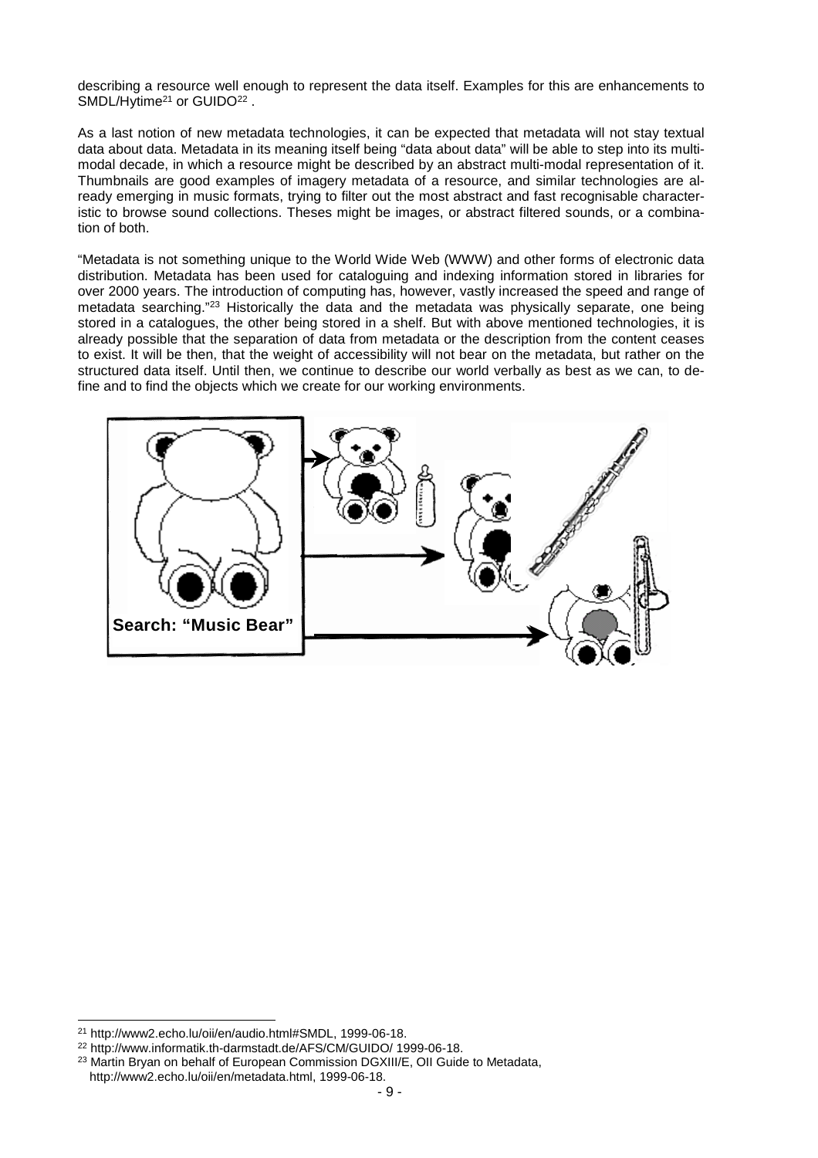describing a resource well enough to represent the data itself. Examples for this are enhancements to SMDL/Hytime<sup>21</sup> or GUIDO<sup>22</sup>.

As a last notion of new metadata technologies, it can be expected that metadata will not stay textual data about data. Metadata in its meaning itself being "data about data" will be able to step into its multimodal decade, in which a resource might be described by an abstract multi-modal representation of it. Thumbnails are good examples of imagery metadata of a resource, and similar technologies are already emerging in music formats, trying to filter out the most abstract and fast recognisable characteristic to browse sound collections. Theses might be images, or abstract filtered sounds, or a combination of both.

"Metadata is not something unique to the World Wide Web (WWW) and other forms of electronic data distribution. Metadata has been used for cataloguing and indexing information stored in libraries for over 2000 years. The introduction of computing has, however, vastly increased the speed and range of metadata searching."<sup>23</sup> Historically the data and the metadata was physically separate, one being stored in a catalogues, the other being stored in a shelf. But with above mentioned technologies, it is already possible that the separation of data from metadata or the description from the content ceases to exist. It will be then, that the weight of accessibility will not bear on the metadata, but rather on the structured data itself. Until then, we continue to describe our world verbally as best as we can, to define and to find the objects which we create for our working environments.



l

<sup>21</sup> http://www2.echo.lu/oii/en/audio.html#SMDL, 1999-06-18.

<sup>22</sup> http://www.informatik.th-darmstadt.de/AFS/CM/GUIDO/ 1999-06-18.

<sup>&</sup>lt;sup>23</sup> Martin Bryan on behalf of European Commission DGXIII/E, OII Guide to Metadata, http://www2.echo.lu/oii/en/metadata.html, 1999-06-18.